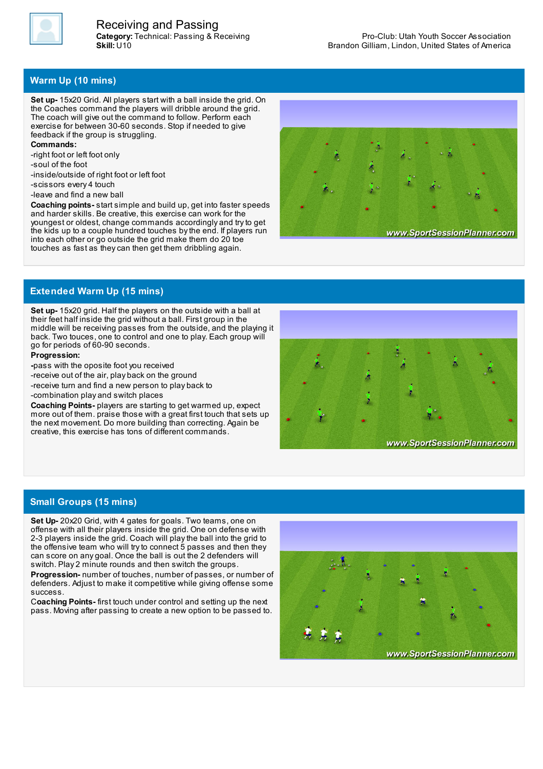

## **Warm Up (10 mins)**

**Set up-** 15x20 Grid. All players start with a ball inside the grid. On the Coaches command the players will dribble around the grid. The coach will give out the command to follow. Perform each exercise for between 30-60 seconds. Stop if needed to give feedback if the group is struggling.

**Commands:**

-right foot or left foot only

-soul of the foot

-inside/outside of right foot or left foot

-scissors every 4 touch

-leave and find a new ball

**Coaching points-** start simple and build up, get into faster speeds and harder skills. Be creative, this exercise can work for the youngest or oldest, change commands accordingly and tryto get the kids up to a couple hundred touches bythe end. If players run into each other or go outside the grid make them do 20 toe touches as fast as theycan then get them dribbling again.



## **Extended Warm Up (15 mins)**

**Set up-** 15x20 grid. Half the players on the outside with a ball at their feet half inside the grid without a ball. First group in the middle will be receiving passes from the outside, and the playing it back. Two touces, one to control and one to play. Each group will go for periods of 60-90 seconds.

**Progression:**

**-**pass with the oposite foot you received

-receive out of the air, play back on the ground

-receive turn and find a new person to play back to

-combination play and switch places

**Coaching Points-** players are starting to get warmed up, expect more out of them. praise those with a great first touch that sets up the next movement. Do more building than correcting. Again be creative, this exercise has tons of different commands.



## **Small Groups (15 mins)**

**Set Up-** 20x20 Grid, with 4 gates for goals. Two teams, one on offense with all their players inside the grid. One on defense with 2-3 players inside the grid. Coach will playthe ball into the grid to the offensive team who will tryto connect 5 passes and then they can score on any goal. Once the ball is out the 2 defenders will switch. Play 2 minute rounds and then switch the groups. **Progression-** number of touches, number of passes, or number of defenders. Adjust to make it competitive while giving offense some success.

C**oaching Points-** first touch under control and setting up the next pass. Moving after passing to create a new option to be passed to.